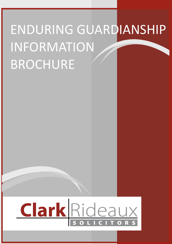# ENDURING GUARDIANSHIP INFORMATION BROCHURE

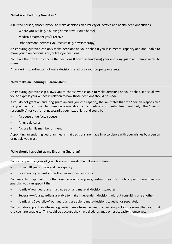A trusted person, chosen by you to make decisions on a variety of lifestyle and health decisions such as:

- Where you live (e.g. a nursing home or your own home)
- Medical treatment you'll receive
- Other personal services you receive (e.g. physiotherapy)

An enduring guardian can only make decisions on your behalf if you lose mental capacity and are unable to make your own personal and/or lifestyle decisions.

You have the power to choose the decisions (known as functions) your enduring guardian is empowered to make.

An enduring guardian cannot make decisions relating to your property or assets.

### **Why make an Enduring Guardianship?**

An enduring guardianship allows you to choose who is able to make decisions on your behalf. It also allows you to express your wishes in relation to how those decisions should be made.

If you do not grant an enduring guardian and you lose capacity, the law states that the "person responsible" for you has the power to make decisions about your medical and dental treatment only. The "person responsible" for you is not necessarily your next of kin, and could be

- A spouse or de facto spouse
- An unpaid carer
- A close family member or friend

Appointing an enduring guardian means that decisions are made in accordance with your wishes by a person or people you trust.

## **Who should I appoint as my Enduring Guardian?**

You can appoint anyone of your choice who meets the following criteria:

- Is over 18 years of age and has capacity
- Is someone you trust and will act in your best interests

You are able to appoint more than one person to be your guardian. If you choose to appoint more than one guardian you can appoint them

- Jointly—Your guardians must agree on and make all decisions together
- Severally—Your guardians are able to make independent decisions without consulting one another
- Jointly and Severally—Your guardians are able to make decisions together or separately

You can also appoint an alternate guardian. An alternative guardian will only act in the event that your first choice(s) are unable to. This could be because they have died, resigned or lost capacity themselves.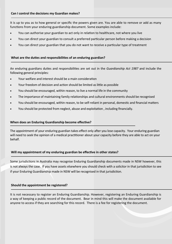It is up to you as to how general or specific the powers given are. You are able to remove or add as many functions from your enduring guardianship document. Some examples include:

- You can authorise your guardian to act only in relation to healthcare, not where you live
- You can direct your guardian to consult a preferred particular person before making a decision
- You can direct your guardian that you do not want to receive a particular type of treatment

#### **What are the duties and responsibilities of an enduring guardian?**

An enduring guardians duties and responsibilities are set out in the *Guardianship Act 1987* and include the following general principles:

- Your welfare and interest should be a main consideration
- Your freedom of decision and action should be limited as little as possible
- You should be encouraged, within reason, to live a normal life in the community
- The importance of maintaining family relationships and cultural environments should be recognised
- You should be encouraged, within reason, to be self-reliant in personal, domestic and financial matters
- You should be protected from neglect, abuse and exploitation , including financially.

#### **When does an Enduring Guardianship become effective?**

The appointment of your enduring guardian takes effect only after you lose capacity. Your enduring guardian will need to seek the opinion of a medical practitioner about your capacity before they are able to act on your behalf.

#### **Will my appointment of my enduring guardian be effective in other states?**

Some jurisdictions in Australia may recognise Enduring Guardianship documents made in NSW however, this is not always the case. If you have assets elsewhere you should check with a solicitor in that jurisdiction to see if your Enduring Guardianship made in NSW will be recognised in that jurisdiction.

#### **Should the appointment be registered?**

It is not necessary to register an Enduring Guardianship. However, registering an Enduring Guardianship is a way of keeping a public record of the document. Bear in mind this will make the document available for anyone to access if they are searching for this record. There is a fee for registering the document.